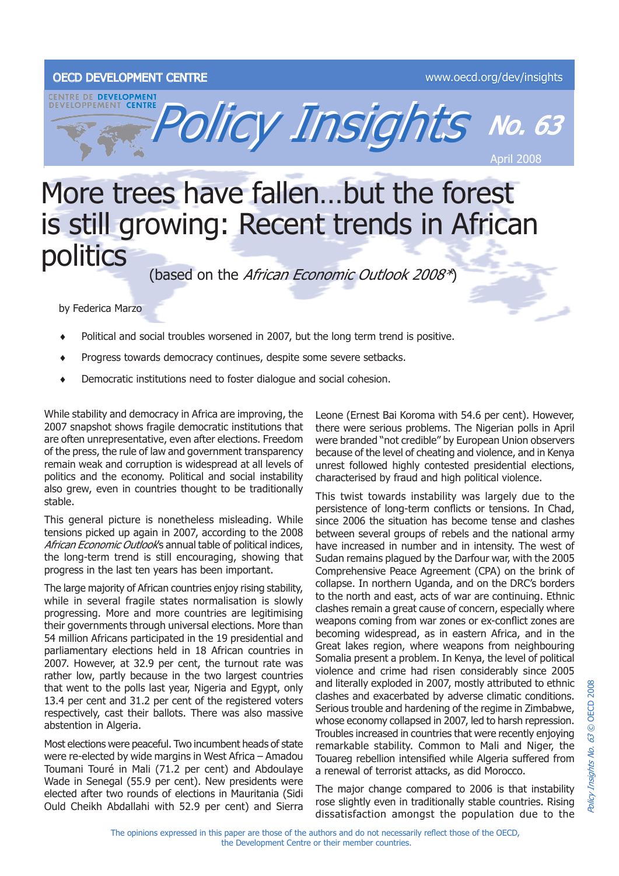## OECD DEVELOPMENT CENTRE WWW.oecd.org/dev/insights



## More trees have fallen…but the forest is still growing: Recent trends in African politics<br>(based on the *African Economic Outlook 2008\**)

by Federica Marzo

- Political and social troubles worsened in 2007, but the long term trend is positive. ♦
- Progress towards democracy continues, despite some severe setbacks. ♦
- Democratic institutions need to foster dialogue and social cohesion. ♦

While stability and democracy in Africa are improving, the 2007 snapshot shows fragile democratic institutions that are often unrepresentative, even after elections. Freedom of the press, the rule of law and government transparency remain weak and corruption is widespread at all levels of politics and the economy. Political and social instability also grew, even in countries thought to be traditionally stable.

This general picture is nonetheless misleading. While tensions picked up again in 2007, according to the 2008 African Economic Outlook's annual table of political indices, the long-term trend is still encouraging, showing that progress in the last ten years has been important.

The large majority of African countries enjoy rising stability, while in several fragile states normalisation is slowly progressing. More and more countries are legitimising their governments through universal elections. More than 54 million Africans participated in the 19 presidential and parliamentary elections held in 18 African countries in 2007. However, at 32.9 per cent, the turnout rate was rather low, partly because in the two largest countries that went to the polls last year, Nigeria and Egypt, only 13.4 per cent and 31.2 per cent of the registered voters respectively, cast their ballots. There was also massive abstention in Algeria.

Most elections were peaceful. Two incumbent heads of state were re-elected by wide margins in West Africa – Amadou Toumani Touré in Mali (71.2 per cent) and Abdoulaye Wade in Senegal (55.9 per cent). New presidents were elected after two rounds of elections in Mauritania (Sidi Ould Cheikh Abdallahi with 52.9 per cent) and Sierra Leone (Ernest Bai Koroma with 54.6 per cent). However, there were serious problems. The Nigerian polls in April were branded "not credible" by European Union observers because of the level of cheating and violence, and in Kenya unrest followed highly contested presidential elections, characterised by fraud and high political violence.

This twist towards instability was largely due to the persistence of long-term conflicts or tensions. In Chad, since 2006 the situation has become tense and clashes between several groups of rebels and the national army have increased in number and in intensity. The west of Sudan remains plagued by the Darfour war, with the 2005 Comprehensive Peace Agreement (CPA) on the brink of collapse. In northern Uganda, and on the DRC's borders to the north and east, acts of war are continuing. Ethnic clashes remain a great cause of concern, especially where weapons coming from war zones or ex-conflict zones are becoming widespread, as in eastern Africa, and in the Great lakes region, where weapons from neighbouring Somalia present a problem. In Kenya, the level of political violence and crime had risen considerably since 2005 and literally exploded in 2007, mostly attributed to ethnic clashes and exacerbated by adverse climatic conditions. Serious trouble and hardening of the regime in Zimbabwe, whose economy collapsed in 2007, led to harsh repression. Troubles increased in countries that were recently enjoying remarkable stability. Common to Mali and Niger, the Touareg rebellion intensified while Algeria suffered from a renewal of terrorist attacks, as did Morocco.

The major change compared to 2006 is that instability rose slightly even in traditionally stable countries. Rising dissatisfaction amongst the population due to the